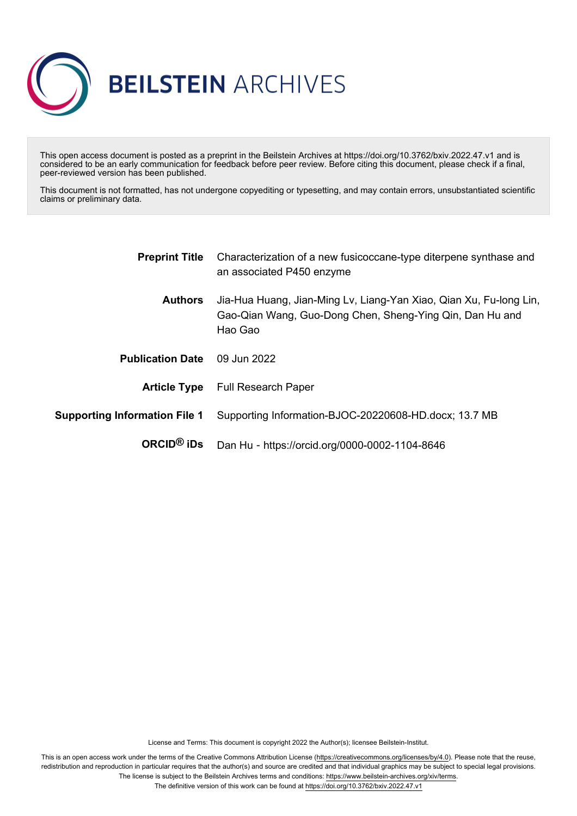

This open access document is posted as a preprint in the Beilstein Archives at https://doi.org/10.3762/bxiv.2022.47.v1 and is considered to be an early communication for feedback before peer review. Before citing this document, please check if a final, peer-reviewed version has been published.

This document is not formatted, has not undergone copyediting or typesetting, and may contain errors, unsubstantiated scientific claims or preliminary data.

| <b>Preprint Title</b>                | Characterization of a new fusicoccane-type diterpene synthase and<br>an associated P450 enzyme                                            |
|--------------------------------------|-------------------------------------------------------------------------------------------------------------------------------------------|
| <b>Authors</b>                       | Jia-Hua Huang, Jian-Ming Lv, Liang-Yan Xiao, Qian Xu, Fu-long Lin,<br>Gao-Qian Wang, Guo-Dong Chen, Sheng-Ying Qin, Dan Hu and<br>Hao Gao |
| <b>Publication Date</b>              | 09 Jun 2022                                                                                                                               |
|                                      | <b>Article Type</b> Full Research Paper                                                                                                   |
| <b>Supporting Information File 1</b> | Supporting Information-BJOC-20220608-HD.docx; 13.7 MB                                                                                     |
| $ORCID®$ iDs                         | Dan Hu - https://orcid.org/0000-0002-1104-8646                                                                                            |

License and Terms: This document is copyright 2022 the Author(s); licensee Beilstein-Institut.

This is an open access work under the terms of the Creative Commons Attribution License [\(https://creativecommons.org/licenses/by/4.0\)](https://creativecommons.org/licenses/by/4.0). Please note that the reuse, redistribution and reproduction in particular requires that the author(s) and source are credited and that individual graphics may be subject to special legal provisions. The license is subject to the Beilstein Archives terms and conditions: [https://www.beilstein-archives.org/xiv/terms.](https://www.beilstein-archives.org/xiv/terms)

The definitive version of this work can be found at <https://doi.org/10.3762/bxiv.2022.47.v1>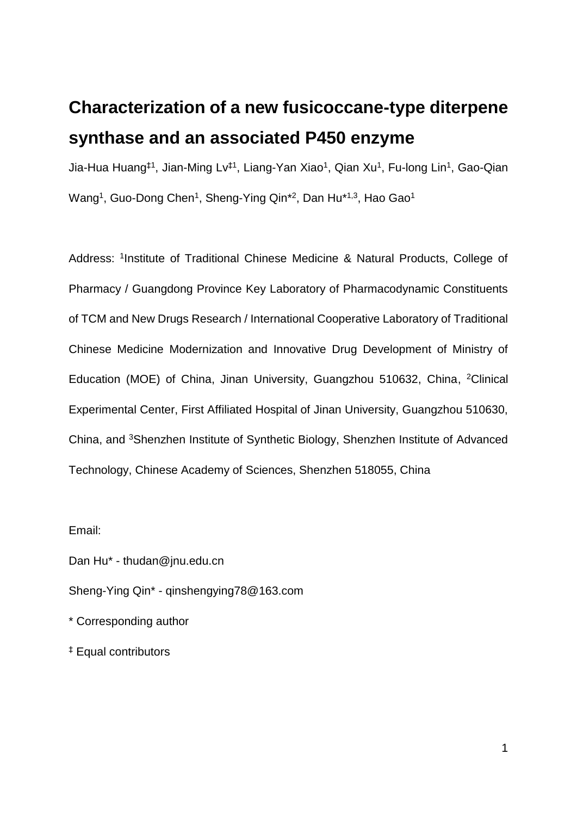## **Characterization of a new fusicoccane-type diterpene synthase and an associated P450 enzyme**

Jia-Hua Huang‡1, Jian-Ming Lv‡1, Liang-Yan Xiao<sup>1</sup>, Qian Xu<sup>1</sup>, Fu-long Lin<sup>1</sup>, Gao-Qian Wang<sup>1</sup>, Guo-Dong Chen<sup>1</sup>, Sheng-Ying Qin\*<sup>2</sup>, Dan Hu\*<sup>1,3</sup>, Hao Gao<sup>1</sup>

Address: <sup>1</sup>Institute of Traditional Chinese Medicine & Natural Products, College of Pharmacy / Guangdong Province Key Laboratory of Pharmacodynamic Constituents of TCM and New Drugs Research / International Cooperative Laboratory of Traditional Chinese Medicine Modernization and Innovative Drug Development of Ministry of Education (MOE) of China, Jinan University, Guangzhou 510632, China, <sup>2</sup>Clinical Experimental Center, First Affiliated Hospital of Jinan University, Guangzhou 510630, China, and <sup>3</sup>Shenzhen Institute of Synthetic Biology, Shenzhen Institute of Advanced Technology, Chinese Academy of Sciences, Shenzhen 518055, China

Email:

Dan Hu\* - thudan@jnu.edu.cn

Sheng-Ying Qin\* - qinshengying78@163.com

\* Corresponding author

‡ Equal contributors

1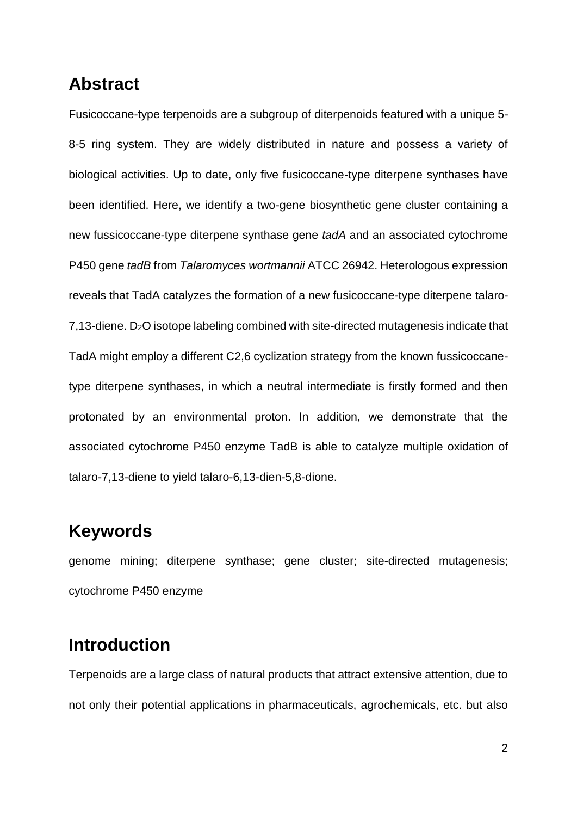## **Abstract**

Fusicoccane-type terpenoids are a subgroup of diterpenoids featured with a unique 5- 8-5 ring system. They are widely distributed in nature and possess a variety of biological activities. Up to date, only five fusicoccane-type diterpene synthases have been identified. Here, we identify a two-gene biosynthetic gene cluster containing a new fussicoccane-type diterpene synthase gene *tadA* and an associated cytochrome P450 gene *tadB* from *Talaromyces wortmannii* ATCC 26942. Heterologous expression reveals that TadA catalyzes the formation of a new fusicoccane-type diterpene talaro-7,13-diene. D2O isotope labeling combined with site-directed mutagenesis indicate that TadA might employ a different C2,6 cyclization strategy from the known fussicoccanetype diterpene synthases, in which a neutral intermediate is firstly formed and then protonated by an environmental proton. In addition, we demonstrate that the associated cytochrome P450 enzyme TadB is able to catalyze multiple oxidation of talaro-7,13-diene to yield talaro-6,13-dien-5,8-dione.

## **Keywords**

genome mining; diterpene synthase; gene cluster; site-directed mutagenesis; cytochrome P450 enzyme

## **Introduction**

Terpenoids are a large class of natural products that attract extensive attention, due to not only their potential applications in pharmaceuticals, agrochemicals, etc. but also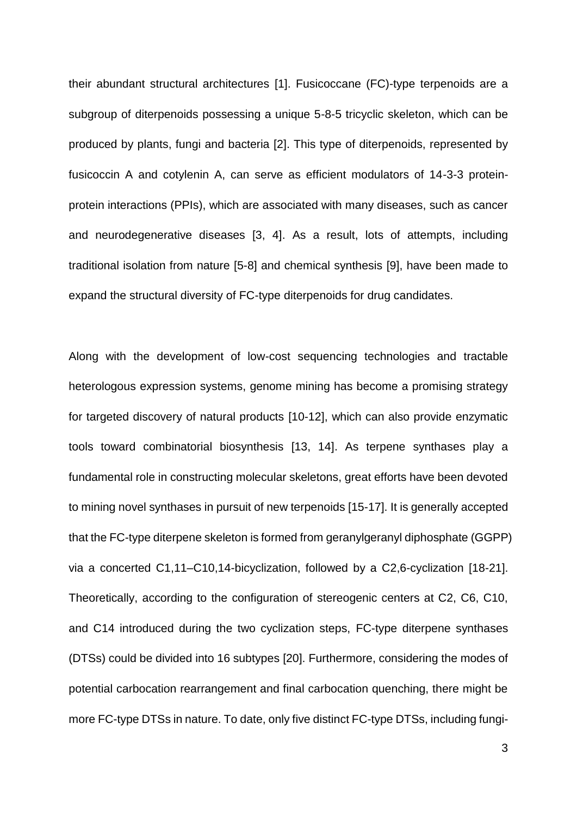their abundant structural architectures [1]. Fusicoccane (FC)-type terpenoids are a subgroup of diterpenoids possessing a unique 5-8-5 tricyclic skeleton, which can be produced by plants, fungi and bacteria [2]. This type of diterpenoids, represented by fusicoccin A and cotylenin A, can serve as efficient modulators of 14-3-3 proteinprotein interactions (PPIs), which are associated with many diseases, such as cancer and neurodegenerative diseases [3, 4]. As a result, lots of attempts, including traditional isolation from nature [5-8] and chemical synthesis [9], have been made to expand the structural diversity of FC-type diterpenoids for drug candidates.

Along with the development of low-cost sequencing technologies and tractable heterologous expression systems, genome mining has become a promising strategy for targeted discovery of natural products [10-12], which can also provide enzymatic tools toward combinatorial biosynthesis [13, 14]. As terpene synthases play a fundamental role in constructing molecular skeletons, great efforts have been devoted to mining novel synthases in pursuit of new terpenoids [15-17]. It is generally accepted that the FC-type diterpene skeleton is formed from geranylgeranyl diphosphate (GGPP) via a concerted C1,11–C10,14-bicyclization, followed by a C2,6-cyclization [18-21]. Theoretically, according to the configuration of stereogenic centers at C2, C6, C10, and C14 introduced during the two cyclization steps, FC-type diterpene synthases (DTSs) could be divided into 16 subtypes [20]. Furthermore, considering the modes of potential carbocation rearrangement and final carbocation quenching, there might be more FC-type DTSs in nature. To date, only five distinct FC-type DTSs, including fungi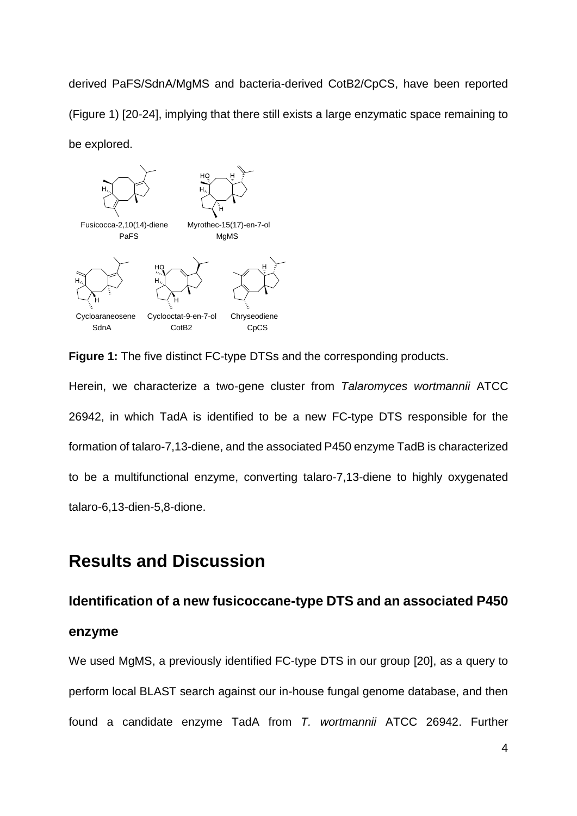derived PaFS/SdnA/MgMS and bacteria-derived CotB2/CpCS, have been reported (Figure 1) [20-24], implying that there still exists a large enzymatic space remaining to be explored.



**Figure 1:** The five distinct FC-type DTSs and the corresponding products.

Herein, we characterize a two-gene cluster from *Talaromyces wortmannii* ATCC 26942, in which TadA is identified to be a new FC-type DTS responsible for the formation of talaro-7,13-diene, and the associated P450 enzyme TadB is characterized to be a multifunctional enzyme, converting talaro-7,13-diene to highly oxygenated talaro-6,13-dien-5,8-dione.

## **Results and Discussion**

**enzyme**

# **Identification of a new fusicoccane-type DTS and an associated P450**

We used MgMS, a previously identified FC-type DTS in our group [20], as a query to perform local BLAST search against our in-house fungal genome database, and then found a candidate enzyme TadA from *T. wortmannii* ATCC 26942. Further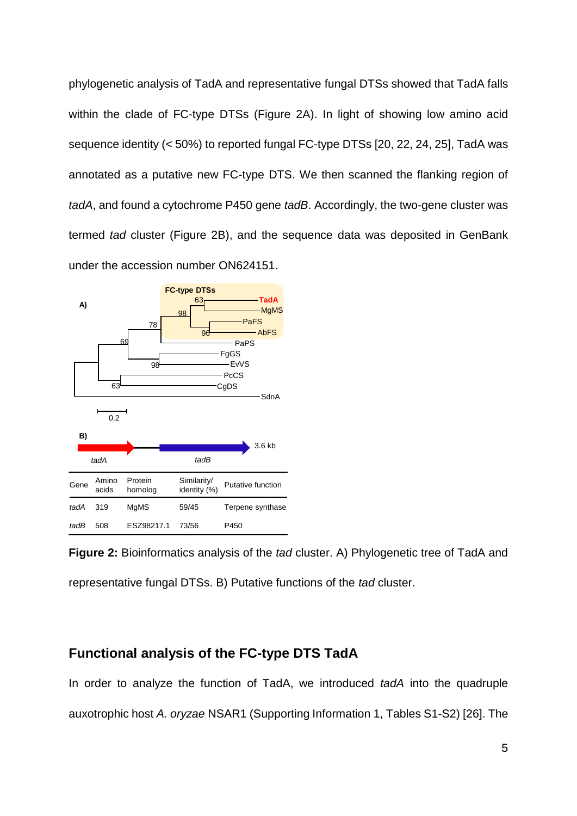phylogenetic analysis of TadA and representative fungal DTSs showed that TadA falls within the clade of FC-type DTSs (Figure 2A). In light of showing low amino acid sequence identity (< 50%) to reported fungal FC-type DTSs [20, 22, 24, 25], TadA was annotated as a putative new FC-type DTS. We then scanned the flanking region of *tadA*, and found a cytochrome P450 gene *tadB*. Accordingly, the two-gene cluster was termed *tad* cluster (Figure 2B), and the sequence data was deposited in GenBank under the accession number ON624151.



**Figure 2:** Bioinformatics analysis of the *tad* cluster. A) Phylogenetic tree of TadA and representative fungal DTSs. B) Putative functions of the *tad* cluster.

#### **Functional analysis of the FC-type DTS TadA**

In order to analyze the function of TadA, we introduced *tadA* into the quadruple auxotrophic host *A. oryzae* NSAR1 (Supporting Information 1, Tables S1-S2) [26]. The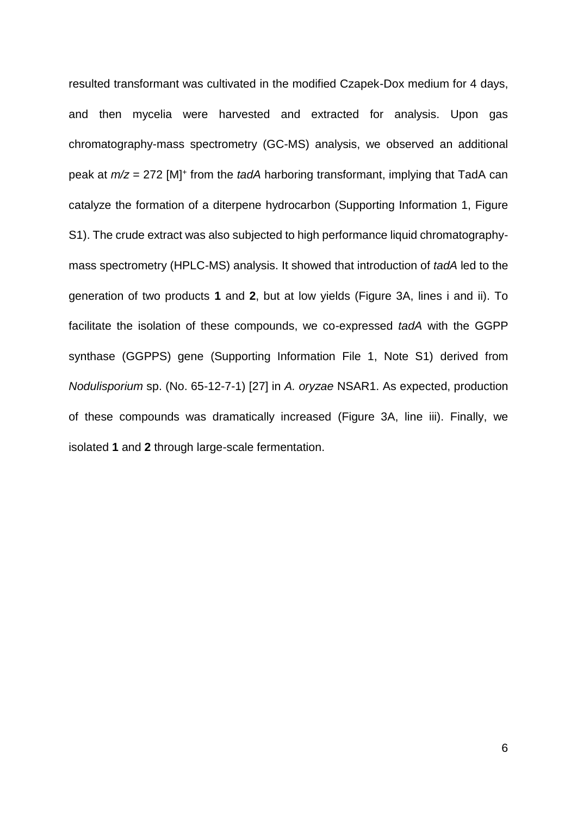resulted transformant was cultivated in the modified Czapek-Dox medium for 4 days, and then mycelia were harvested and extracted for analysis. Upon gas chromatography-mass spectrometry (GC-MS) analysis, we observed an additional peak at  $m/z = 272$  [M]<sup>+</sup> from the *tadA* harboring transformant, implying that TadA can catalyze the formation of a diterpene hydrocarbon (Supporting Information 1, Figure S1). The crude extract was also subjected to high performance liquid chromatographymass spectrometry (HPLC-MS) analysis. It showed that introduction of *tadA* led to the generation of two products **1** and **2**, but at low yields (Figure 3A, lines i and ii). To facilitate the isolation of these compounds, we co-expressed *tadA* with the GGPP synthase (GGPPS) gene (Supporting Information File 1, Note S1) derived from *Nodulisporium* sp. (No. 65-12-7-1) [27] in *A. oryzae* NSAR1. As expected, production of these compounds was dramatically increased (Figure 3A, line iii). Finally, we isolated **1** and **2** through large-scale fermentation.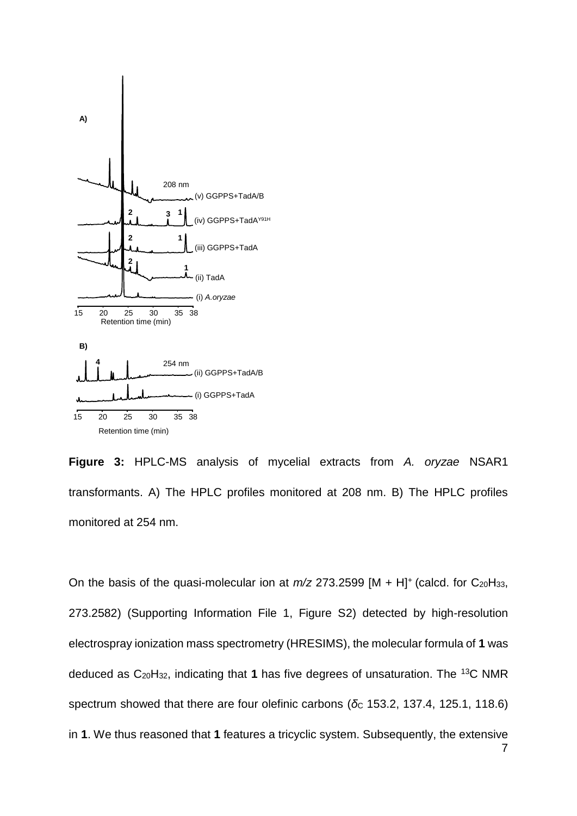

**Figure 3:** HPLC-MS analysis of mycelial extracts from *A. oryzae* NSAR1 transformants. A) The HPLC profiles monitored at 208 nm. B) The HPLC profiles monitored at 254 nm.

On the basis of the quasi-molecular ion at  $m/z$  273.2599 [M + H]<sup>+</sup> (calcd. for C<sub>20</sub>H<sub>33</sub>, 273.2582) (Supporting Information File 1, Figure S2) detected by high-resolution electrospray ionization mass spectrometry (HRESIMS), the molecular formula of **1** was deduced as C20H32, indicating that **1** has five degrees of unsaturation. The <sup>13</sup>C NMR spectrum showed that there are four olefinic carbons (δc 153.2, 137.4, 125.1, 118.6) in **1**. We thus reasoned that **1** features a tricyclic system. Subsequently, the extensive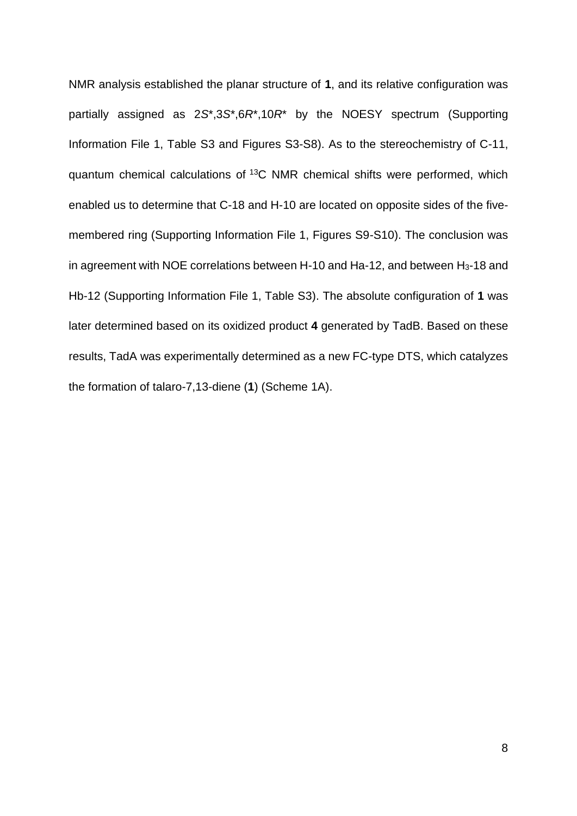NMR analysis established the planar structure of **1**, and its relative configuration was partially assigned as 2*S*\*,3*S*\*,6*R*\*,10*R*\* by the NOESY spectrum (Supporting Information File 1, Table S3 and Figures S3-S8). As to the stereochemistry of C-11, quantum chemical calculations of <sup>13</sup>C NMR chemical shifts were performed, which enabled us to determine that C-18 and H-10 are located on opposite sides of the fivemembered ring (Supporting Information File 1, Figures S9-S10). The conclusion was in agreement with NOE correlations between H-10 and Ha-12, and between H3-18 and Hb-12 (Supporting Information File 1, Table S3). The absolute configuration of **1** was later determined based on its oxidized product **4** generated by TadB. Based on these results, TadA was experimentally determined as a new FC-type DTS, which catalyzes the formation of talaro-7,13-diene (**1**) (Scheme 1A).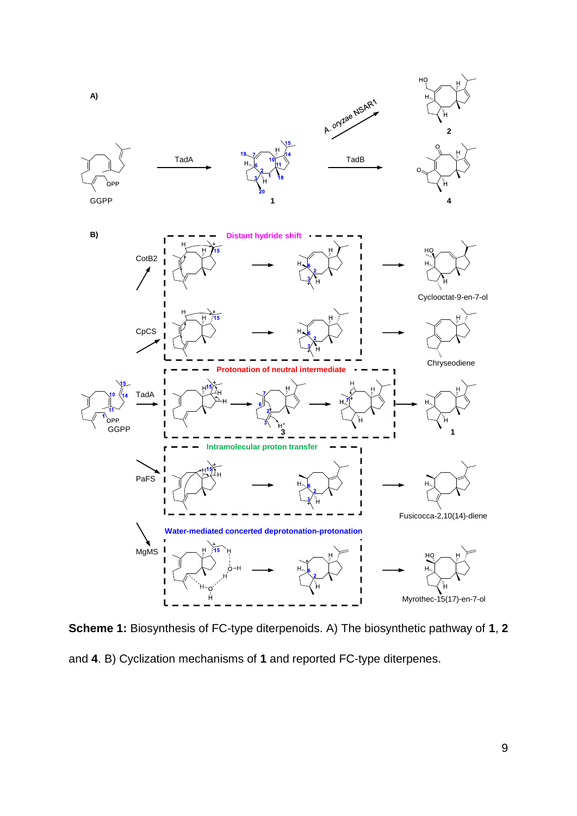

**Scheme 1:** Biosynthesis of FC-type diterpenoids. A) The biosynthetic pathway of **1**, **2** and **4**. B) Cyclization mechanisms of **1** and reported FC-type diterpenes.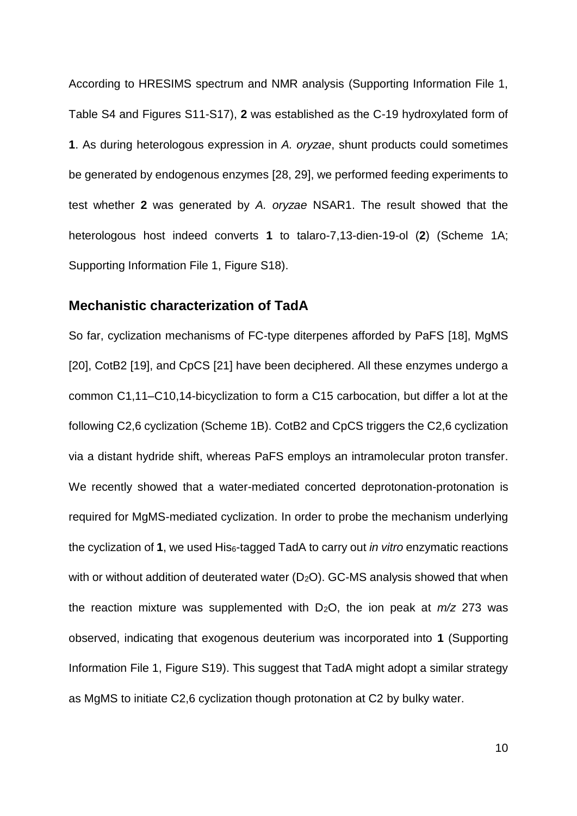According to HRESIMS spectrum and NMR analysis (Supporting Information File 1, Table S4 and Figures S11-S17), **2** was established as the C-19 hydroxylated form of **1**. As during heterologous expression in *A. oryzae*, shunt products could sometimes be generated by endogenous enzymes [28, 29], we performed feeding experiments to test whether **2** was generated by *A. oryzae* NSAR1. The result showed that the heterologous host indeed converts **1** to talaro-7,13-dien-19-ol (**2**) (Scheme 1A; Supporting Information File 1, Figure S18).

#### **Mechanistic characterization of TadA**

So far, cyclization mechanisms of FC-type diterpenes afforded by PaFS [18], MgMS [20], CotB2 [19], and CpCS [21] have been deciphered. All these enzymes undergo a common C1,11–C10,14-bicyclization to form a C15 carbocation, but differ a lot at the following C2,6 cyclization (Scheme 1B). CotB2 and CpCS triggers the C2,6 cyclization via a distant hydride shift, whereas PaFS employs an intramolecular proton transfer. We recently showed that a water-mediated concerted deprotonation-protonation is required for MgMS-mediated cyclization. In order to probe the mechanism underlying the cyclization of **1**, we used His6-tagged TadA to carry out *in vitro* enzymatic reactions with or without addition of deuterated water  $(D_2O)$ . GC-MS analysis showed that when the reaction mixture was supplemented with D2O, the ion peak at *m/z* 273 was observed, indicating that exogenous deuterium was incorporated into **1** (Supporting Information File 1, Figure S19). This suggest that TadA might adopt a similar strategy as MgMS to initiate C2,6 cyclization though protonation at C2 by bulky water.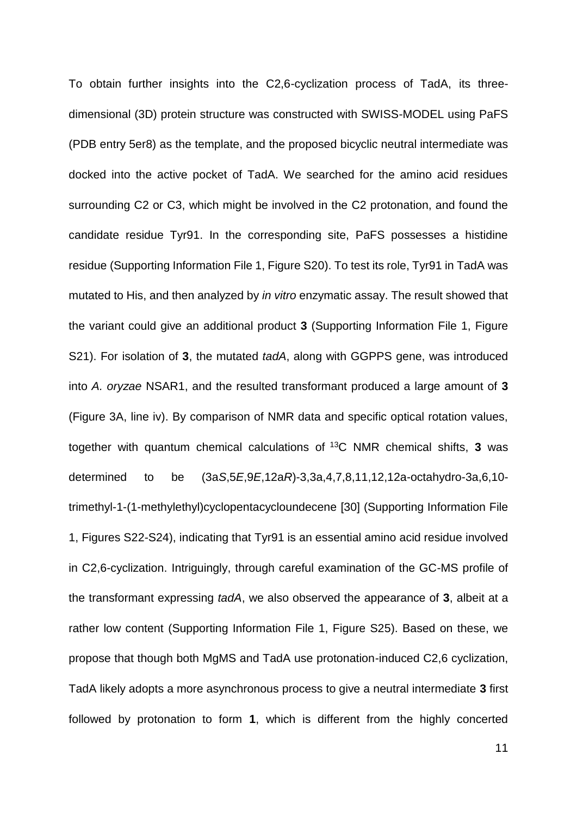To obtain further insights into the C2,6-cyclization process of TadA, its threedimensional (3D) protein structure was constructed with SWISS-MODEL using PaFS (PDB entry 5er8) as the template, and the proposed bicyclic neutral intermediate was docked into the active pocket of TadA. We searched for the amino acid residues surrounding C2 or C3, which might be involved in the C2 protonation, and found the candidate residue Tyr91. In the corresponding site, PaFS possesses a histidine residue (Supporting Information File 1, Figure S20). To test its role, Tyr91 in TadA was mutated to His, and then analyzed by *in vitro* enzymatic assay. The result showed that the variant could give an additional product **3** (Supporting Information File 1, Figure S21). For isolation of **3**, the mutated *tadA*, along with GGPPS gene, was introduced into *A. oryzae* NSAR1, and the resulted transformant produced a large amount of **3** (Figure 3A, line iv). By comparison of NMR data and specific optical rotation values, together with quantum chemical calculations of <sup>13</sup>C NMR chemical shifts, **3** was determined to be (3a*S*,5*E*,9*E*,12a*R*)-3,3a,4,7,8,11,12,12a-octahydro-3a,6,10 trimethyl-1-(1-methylethyl)cyclopentacycloundecene [30] (Supporting Information File 1, Figures S22-S24), indicating that Tyr91 is an essential amino acid residue involved in C2,6-cyclization. Intriguingly, through careful examination of the GC-MS profile of the transformant expressing *tadA*, we also observed the appearance of **3**, albeit at a rather low content (Supporting Information File 1, Figure S25). Based on these, we propose that though both MgMS and TadA use protonation-induced C2,6 cyclization, TadA likely adopts a more asynchronous process to give a neutral intermediate **3** first followed by protonation to form **1**, which is different from the highly concerted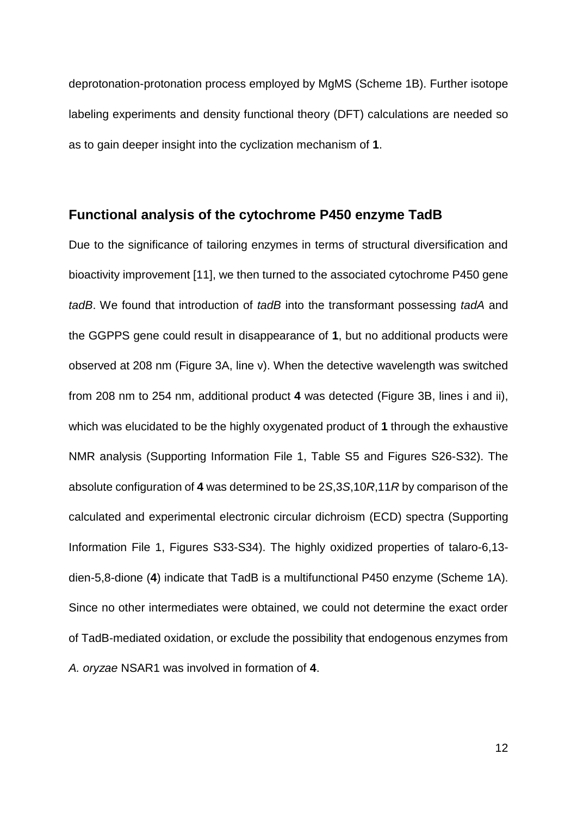deprotonation-protonation process employed by MgMS (Scheme 1B). Further isotope labeling experiments and density functional theory (DFT) calculations are needed so as to gain deeper insight into the cyclization mechanism of **1**.

#### **Functional analysis of the cytochrome P450 enzyme TadB**

Due to the significance of tailoring enzymes in terms of structural diversification and bioactivity improvement [11], we then turned to the associated cytochrome P450 gene *tadB*. We found that introduction of *tadB* into the transformant possessing *tadA* and the GGPPS gene could result in disappearance of **1**, but no additional products were observed at 208 nm (Figure 3A, line v). When the detective wavelength was switched from 208 nm to 254 nm, additional product **4** was detected (Figure 3B, lines i and ii), which was elucidated to be the highly oxygenated product of **1** through the exhaustive NMR analysis (Supporting Information File 1, Table S5 and Figures S26-S32). The absolute configuration of **4** was determined to be 2*S*,3*S*,10*R*,11*R* by comparison of the calculated and experimental electronic circular dichroism (ECD) spectra (Supporting Information File 1, Figures S33-S34). The highly oxidized properties of talaro-6,13 dien-5,8-dione (**4**) indicate that TadB is a multifunctional P450 enzyme (Scheme 1A). Since no other intermediates were obtained, we could not determine the exact order of TadB-mediated oxidation, or exclude the possibility that endogenous enzymes from *A. oryzae* NSAR1 was involved in formation of **4**.

12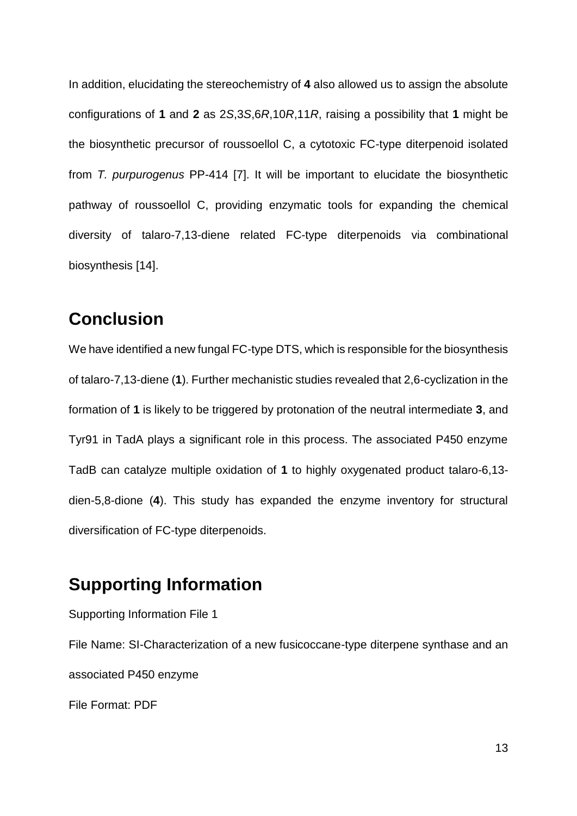In addition, elucidating the stereochemistry of **4** also allowed us to assign the absolute configurations of **1** and **2** as 2*S*,3*S*,6*R*,10*R*,11*R*, raising a possibility that **1** might be the biosynthetic precursor of roussoellol C, a cytotoxic FC-type diterpenoid isolated from *T. purpurogenus* PP-414 [7]. It will be important to elucidate the biosynthetic pathway of roussoellol C, providing enzymatic tools for expanding the chemical diversity of talaro-7,13-diene related FC-type diterpenoids via combinational biosynthesis [14].

## **Conclusion**

We have identified a new fungal FC-type DTS, which is responsible for the biosynthesis of talaro-7,13-diene (**1**). Further mechanistic studies revealed that 2,6-cyclization in the formation of **1** is likely to be triggered by protonation of the neutral intermediate **3**, and Tyr91 in TadA plays a significant role in this process. The associated P450 enzyme TadB can catalyze multiple oxidation of **1** to highly oxygenated product talaro-6,13 dien-5,8-dione (**4**). This study has expanded the enzyme inventory for structural diversification of FC-type diterpenoids.

## **Supporting Information**

Supporting Information File 1 File Name: SI-Characterization of a new fusicoccane-type diterpene synthase and an associated P450 enzyme File Format: PDF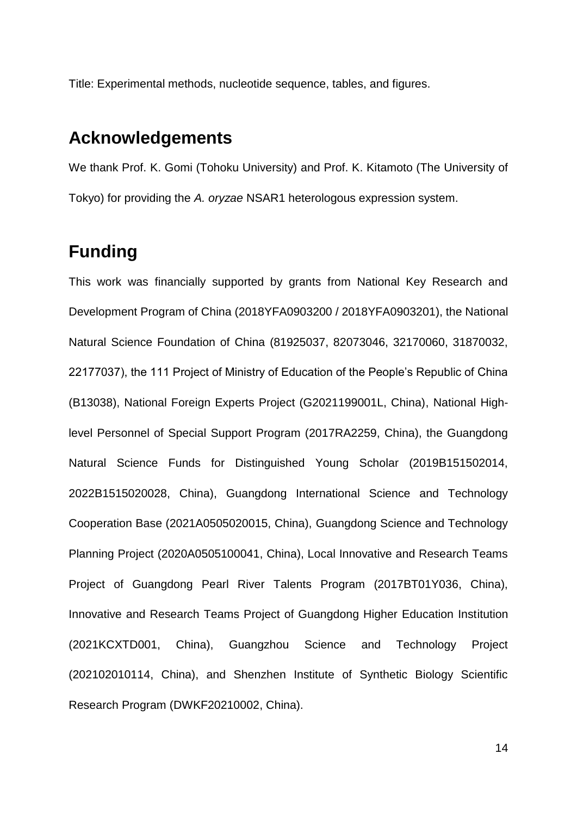Title: Experimental methods, nucleotide sequence, tables, and figures.

### **Acknowledgements**

We thank Prof. K. Gomi (Tohoku University) and Prof. K. Kitamoto (The University of Tokyo) for providing the *A. oryzae* NSAR1 heterologous expression system.

## **Funding**

This work was financially supported by grants from National Key Research and Development Program of China (2018YFA0903200 / 2018YFA0903201), the National Natural Science Foundation of China (81925037, 82073046, 32170060, 31870032, 22177037), the 111 Project of Ministry of Education of the People's Republic of China (B13038), National Foreign Experts Project (G2021199001L, China), National Highlevel Personnel of Special Support Program (2017RA2259, China), the Guangdong Natural Science Funds for Distinguished Young Scholar (2019B151502014, 2022B1515020028, China), Guangdong International Science and Technology Cooperation Base (2021A0505020015, China), Guangdong Science and Technology Planning Project (2020A0505100041, China), Local Innovative and Research Teams Project of Guangdong Pearl River Talents Program (2017BT01Y036, China), Innovative and Research Teams Project of Guangdong Higher Education Institution (2021KCXTD001, China), Guangzhou Science and Technology Project (202102010114, China), and Shenzhen Institute of Synthetic Biology Scientific Research Program (DWKF20210002, China).

14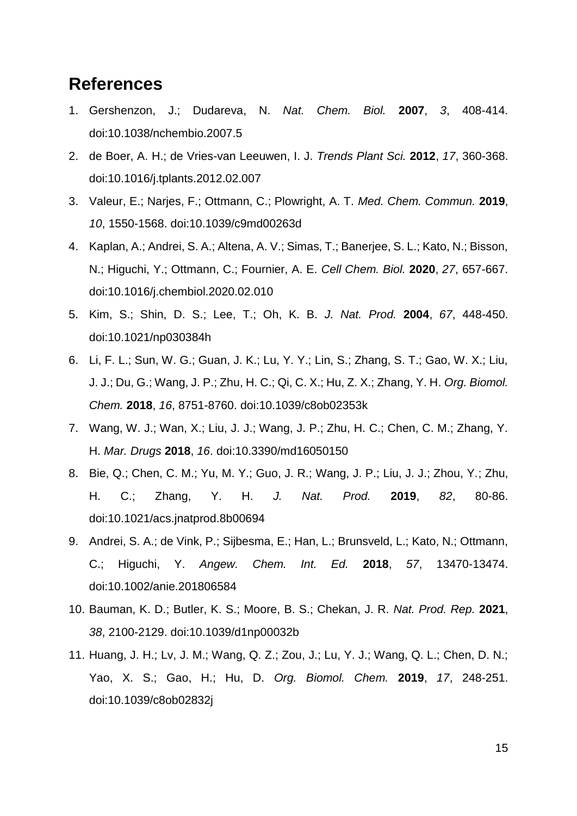## **References**

- 1. Gershenzon, J.; Dudareva, N. *Nat. Chem. Biol.* **2007**, *3*, 408-414. doi:10.1038/nchembio.2007.5
- 2. de Boer, A. H.; de Vries-van Leeuwen, I. J. *Trends Plant Sci.* **2012**, *17*, 360-368. doi:10.1016/j.tplants.2012.02.007
- 3. Valeur, E.; Narjes, F.; Ottmann, C.; Plowright, A. T. *Med. Chem. Commun.* **2019**, *10*, 1550-1568. doi:10.1039/c9md00263d
- 4. Kaplan, A.; Andrei, S. A.; Altena, A. V.; Simas, T.; Banerjee, S. L.; Kato, N.; Bisson, N.; Higuchi, Y.; Ottmann, C.; Fournier, A. E. *Cell Chem. Biol.* **2020**, *27*, 657-667. doi:10.1016/j.chembiol.2020.02.010
- 5. Kim, S.; Shin, D. S.; Lee, T.; Oh, K. B. *J. Nat. Prod.* **2004**, *67*, 448-450. doi:10.1021/np030384h
- 6. Li, F. L.; Sun, W. G.; Guan, J. K.; Lu, Y. Y.; Lin, S.; Zhang, S. T.; Gao, W. X.; Liu, J. J.; Du, G.; Wang, J. P.; Zhu, H. C.; Qi, C. X.; Hu, Z. X.; Zhang, Y. H. *Org. Biomol. Chem.* **2018**, *16*, 8751-8760. doi:10.1039/c8ob02353k
- 7. Wang, W. J.; Wan, X.; Liu, J. J.; Wang, J. P.; Zhu, H. C.; Chen, C. M.; Zhang, Y. H. *Mar. Drugs* **2018**, *16*. doi:10.3390/md16050150
- 8. Bie, Q.; Chen, C. M.; Yu, M. Y.; Guo, J. R.; Wang, J. P.; Liu, J. J.; Zhou, Y.; Zhu, H. C.; Zhang, Y. H. *J. Nat. Prod.* **2019**, *82*, 80-86. doi:10.1021/acs.jnatprod.8b00694
- 9. Andrei, S. A.; de Vink, P.; Sijbesma, E.; Han, L.; Brunsveld, L.; Kato, N.; Ottmann, C.; Higuchi, Y. *Angew. Chem. Int. Ed.* **2018**, *57*, 13470-13474. doi:10.1002/anie.201806584
- 10. Bauman, K. D.; Butler, K. S.; Moore, B. S.; Chekan, J. R. *Nat. Prod. Rep.* **2021**, *38*, 2100-2129. doi:10.1039/d1np00032b
- 11. Huang, J. H.; Lv, J. M.; Wang, Q. Z.; Zou, J.; Lu, Y. J.; Wang, Q. L.; Chen, D. N.; Yao, X. S.; Gao, H.; Hu, D. *Org. Biomol. Chem.* **2019**, *17*, 248-251. doi:10.1039/c8ob02832j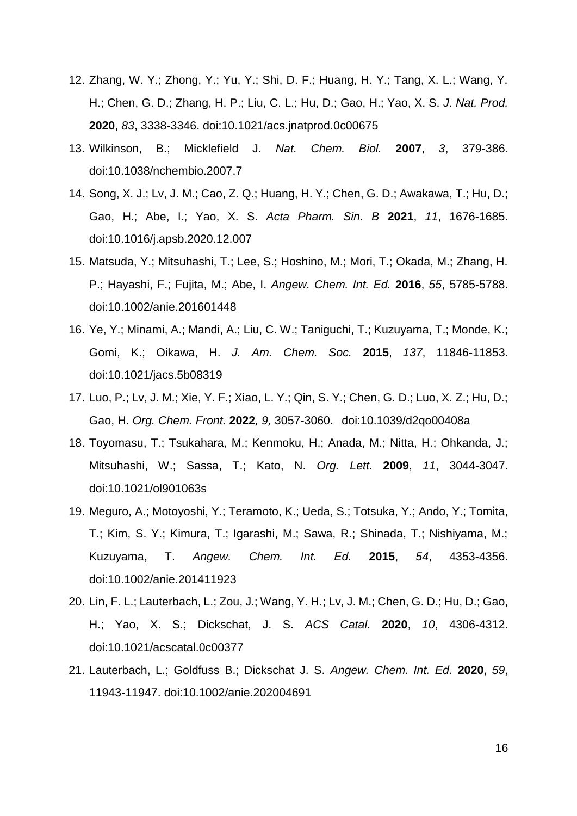- 12. Zhang, W. Y.; Zhong, Y.; Yu, Y.; Shi, D. F.; Huang, H. Y.; Tang, X. L.; Wang, Y. H.; Chen, G. D.; Zhang, H. P.; Liu, C. L.; Hu, D.; Gao, H.; Yao, X. S. *J. Nat. Prod.* **2020**, *83*, 3338-3346. doi:10.1021/acs.jnatprod.0c00675
- 13. Wilkinson, B.; Micklefield J. *Nat. Chem. Biol.* **2007**, *3*, 379-386. doi:10.1038/nchembio.2007.7
- 14. Song, X. J.; Lv, J. M.; Cao, Z. Q.; Huang, H. Y.; Chen, G. D.; Awakawa, T.; Hu, D.; Gao, H.; Abe, I.; Yao, X. S. *Acta Pharm. Sin. B* **2021**, *11*, 1676-1685. doi:10.1016/j.apsb.2020.12.007
- 15. Matsuda, Y.; Mitsuhashi, T.; Lee, S.; Hoshino, M.; Mori, T.; Okada, M.; Zhang, H. P.; Hayashi, F.; Fujita, M.; Abe, I. *Angew. Chem. Int. Ed.* **2016**, *55*, 5785-5788. doi:10.1002/anie.201601448
- 16. Ye, Y.; Minami, A.; Mandi, A.; Liu, C. W.; Taniguchi, T.; Kuzuyama, T.; Monde, K.; Gomi, K.; Oikawa, H. *J. Am. Chem. Soc.* **2015**, *137*, 11846-11853. doi:10.1021/jacs.5b08319
- 17. Luo, P.; Lv, J. M.; Xie, Y. F.; Xiao, L. Y.; Qin, S. Y.; Chen, G. D.; Luo, X. Z.; Hu, D.; Gao, H. *Org. Chem. Front.* **2022***, 9,* 3057-3060. doi:10.1039/d2qo00408a
- 18. Toyomasu, T.; Tsukahara, M.; Kenmoku, H.; Anada, M.; Nitta, H.; Ohkanda, J.; Mitsuhashi, W.; Sassa, T.; Kato, N. *Org. Lett.* **2009**, *11*, 3044-3047. doi:10.1021/ol901063s
- 19. Meguro, A.; Motoyoshi, Y.; Teramoto, K.; Ueda, S.; Totsuka, Y.; Ando, Y.; Tomita, T.; Kim, S. Y.; Kimura, T.; Igarashi, M.; Sawa, R.; Shinada, T.; Nishiyama, M.; Kuzuyama, T. *Angew. Chem. Int. Ed.* **2015**, *54*, 4353-4356. doi:10.1002/anie.201411923
- 20. Lin, F. L.; Lauterbach, L.; Zou, J.; Wang, Y. H.; Lv, J. M.; Chen, G. D.; Hu, D.; Gao, H.; Yao, X. S.; Dickschat, J. S. *ACS Catal.* **2020**, *10*, 4306-4312. doi:10.1021/acscatal.0c00377
- 21. Lauterbach, L.; Goldfuss B.; Dickschat J. S. *Angew. Chem. Int. Ed.* **2020**, *59*, 11943-11947. doi:10.1002/anie.202004691